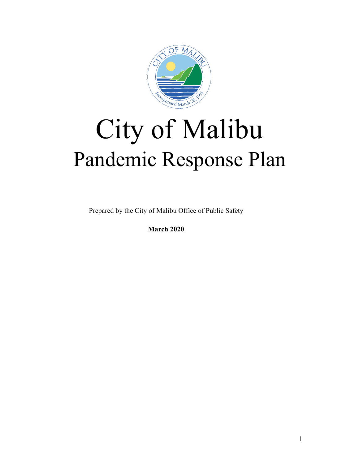

# City of Malibu Pandemic Response Plan

Prepared by the City of Malibu Office of Public Safety

**March 2020**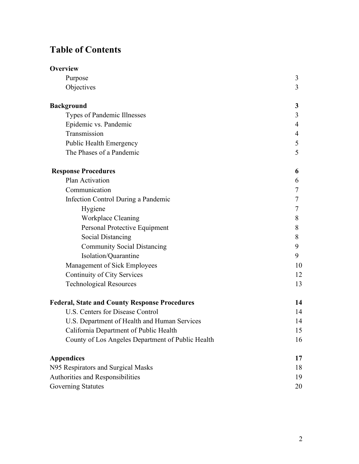# **Table of Contents**

| <b>Overview</b>                                      |    |  |
|------------------------------------------------------|----|--|
| Purpose                                              | 3  |  |
| Objectives                                           | 3  |  |
| <b>Background</b>                                    | 3  |  |
| Types of Pandemic Illnesses                          | 3  |  |
| Epidemic vs. Pandemic                                | 4  |  |
| Transmission                                         | 4  |  |
| <b>Public Health Emergency</b>                       | 5  |  |
| The Phases of a Pandemic                             | 5  |  |
| <b>Response Procedures</b>                           | 6  |  |
| Plan Activation                                      | 6  |  |
| Communication                                        | 7  |  |
| Infection Control During a Pandemic                  | 7  |  |
| Hygiene                                              | 7  |  |
| Workplace Cleaning                                   | 8  |  |
| Personal Protective Equipment                        | 8  |  |
| <b>Social Distancing</b>                             | 8  |  |
| <b>Community Social Distancing</b>                   | 9  |  |
| Isolation/Quarantine                                 | 9  |  |
| Management of Sick Employees                         | 10 |  |
| Continuity of City Services                          | 12 |  |
| <b>Technological Resources</b>                       | 13 |  |
| <b>Federal, State and County Response Procedures</b> | 14 |  |
| <b>U.S. Centers for Disease Control</b>              | 14 |  |
| U.S. Department of Health and Human Services         | 14 |  |
| California Department of Public Health               | 15 |  |
| County of Los Angeles Department of Public Health    | 16 |  |
| <b>Appendices</b>                                    | 17 |  |
| N95 Respirators and Surgical Masks                   |    |  |
| Authorities and Responsibilities                     |    |  |
| <b>Governing Statutes</b>                            | 20 |  |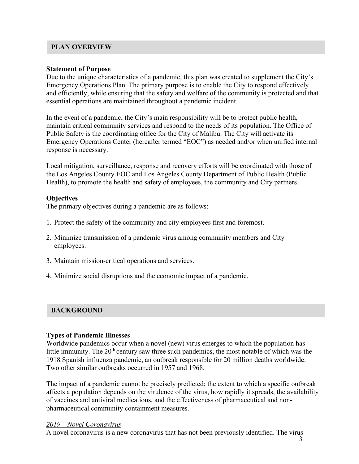# **PLAN OVERVIEW**

#### **Statement of Purpose**

Due to the unique characteristics of a pandemic, this plan was created to supplement the City's Emergency Operations Plan. The primary purpose is to enable the City to respond effectively and efficiently, while ensuring that the safety and welfare of the community is protected and that essential operations are maintained throughout a pandemic incident.

In the event of a pandemic, the City's main responsibility will be to protect public health, maintain critical community services and respond to the needs of its population. The Office of Public Safety is the coordinating office for the City of Malibu. The City will activate its Emergency Operations Center (hereafter termed "EOC") as needed and/or when unified internal response is necessary.

Local mitigation, surveillance, response and recovery efforts will be coordinated with those of the Los Angeles County EOC and Los Angeles County Department of Public Health (Public Health), to promote the health and safety of employees, the community and City partners.

# **Objectives**

The primary objectives during a pandemic are as follows:

- 1. Protect the safety of the community and city employees first and foremost.
- 2. Minimize transmission of a pandemic virus among community members and City employees.
- 3. Maintain mission-critical operations and services.
- 4. Minimize social disruptions and the economic impact of a pandemic.

# **BACKGROUND**

# **Types of Pandemic Illnesses**

Worldwide pandemics occur when a novel (new) virus emerges to which the population has little immunity. The  $20<sup>th</sup>$  century saw three such pandemics, the most notable of which was the 1918 Spanish influenza pandemic, an outbreak responsible for 20 million deaths worldwide. Two other similar outbreaks occurred in 1957 and 1968.

The impact of a pandemic cannot be precisely predicted; the extent to which a specific outbreak affects a population depends on the virulence of the virus, how rapidly it spreads, the availability of vaccines and antiviral medications, and the effectiveness of pharmaceutical and nonpharmaceutical community containment measures.

# *2019 – Novel Coronavirus*

A novel coronavirus is a new coronavirus that has not been previously identified. The virus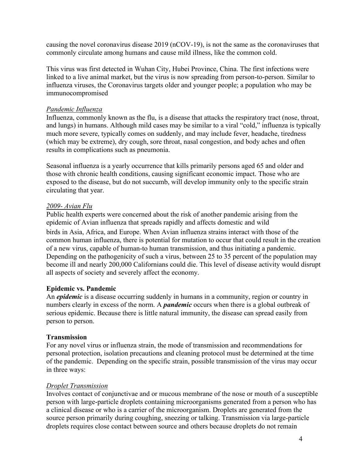causing the novel coronavirus disease 2019 (nCOV-19), is not the same as the coronaviruses that commonly circulate among humans and cause mild illness, like the common cold.

This virus was first detected in Wuhan City, Hubei Province, China. The first infections were linked to a live animal market, but the virus is now spreading from person-to-person. Similar to influenza viruses, the Coronavirus targets older and younger people; a population who may be immunocompromised

#### *Pandemic Influenza*

Influenza, commonly known as the flu, is a disease that attacks the respiratory tract (nose, throat, and lungs) in humans. Although mild cases may be similar to a viral "cold," influenza is typically much more severe, typically comes on suddenly, and may include fever, headache, tiredness (which may be extreme), dry cough, sore throat, nasal congestion, and body aches and often results in complications such as pneumonia.

Seasonal influenza is a yearly occurrence that kills primarily persons aged 65 and older and those with chronic health conditions, causing significant economic impact. Those who are exposed to the disease, but do not succumb, will develop immunity only to the specific strain circulating that year.

#### *2009- Avian Flu*

Public health experts were concerned about the risk of another pandemic arising from the epidemic of Avian influenza that spreads rapidly and affects domestic and wild birds in Asia, Africa, and Europe. When Avian influenza strains interact with those of the common human influenza, there is potential for mutation to occur that could result in the creation of a new virus, capable of human-to human transmission, and thus initiating a pandemic. Depending on the pathogenicity of such a virus, between 25 to 35 percent of the population may become ill and nearly 200,000 Californians could die. This level of disease activity would disrupt all aspects of society and severely affect the economy.

# **Epidemic vs. Pandemic**

An *epidemic* is a disease occurring suddenly in humans in a community, region or country in numbers clearly in excess of the norm. A *pandemic* occurs when there is a global outbreak of serious epidemic. Because there is little natural immunity, the disease can spread easily from person to person.

#### **Transmission**

For any novel virus or influenza strain, the mode of transmission and recommendations for personal protection, isolation precautions and cleaning protocol must be determined at the time of the pandemic. Depending on the specific strain, possible transmission of the virus may occur in three ways:

#### *Droplet Transmission*

Involves contact of conjunctivae and or mucous membrane of the nose or mouth of a susceptible person with large-particle droplets containing microorganisms generated from a person who has a clinical disease or who is a carrier of the microorganism. Droplets are generated from the source person primarily during coughing, sneezing or talking. Transmission via large-particle droplets requires close contact between source and others because droplets do not remain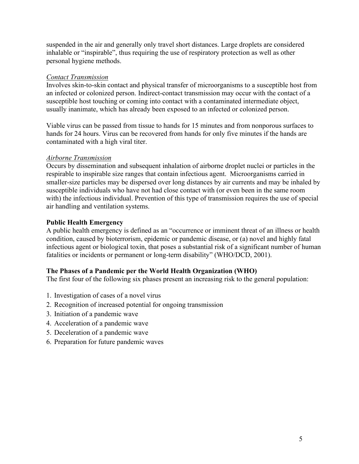suspended in the air and generally only travel short distances. Large droplets are considered inhalable or "inspirable", thus requiring the use of respiratory protection as well as other personal hygiene methods.

# *Contact Transmission*

Involves skin-to-skin contact and physical transfer of microorganisms to a susceptible host from an infected or colonized person. Indirect-contact transmission may occur with the contact of a susceptible host touching or coming into contact with a contaminated intermediate object, usually inanimate, which has already been exposed to an infected or colonized person.

Viable virus can be passed from tissue to hands for 15 minutes and from nonporous surfaces to hands for 24 hours. Virus can be recovered from hands for only five minutes if the hands are contaminated with a high viral titer.

#### *Airborne Transmission*

Occurs by dissemination and subsequent inhalation of airborne droplet nuclei or particles in the respirable to inspirable size ranges that contain infectious agent. Microorganisms carried in smaller-size particles may be dispersed over long distances by air currents and may be inhaled by susceptible individuals who have not had close contact with (or even been in the same room with) the infectious individual. Prevention of this type of transmission requires the use of special air handling and ventilation systems.

# **Public Health Emergency**

A public health emergency is defined as an "occurrence or imminent threat of an illness or health condition, caused by bioterrorism, epidemic or pandemic disease, or (a) novel and highly fatal infectious agent or biological toxin, that poses a substantial risk of a significant number of human fatalities or incidents or permanent or long-term disability" (WHO/DCD, 2001).

# **The Phases of a Pandemic per the World Health Organization (WHO)**

The first four of the following six phases present an increasing risk to the general population:

- 1. Investigation of cases of a novel virus
- 2. Recognition of increased potential for ongoing transmission
- 3. Initiation of a pandemic wave
- 4. Acceleration of a pandemic wave
- 5. Deceleration of a pandemic wave
- 6. Preparation for future pandemic waves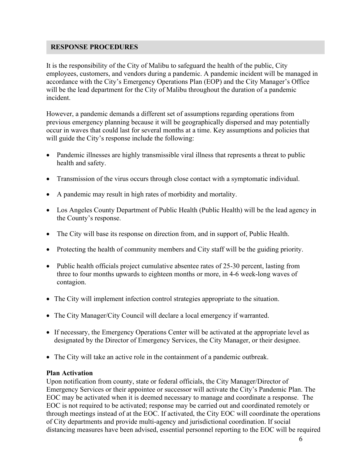# **RESPONSE PROCEDURES**

It is the responsibility of the City of Malibu to safeguard the health of the public, City employees, customers, and vendors during a pandemic. A pandemic incident will be managed in accordance with the City's Emergency Operations Plan (EOP) and the City Manager's Office will be the lead department for the City of Malibu throughout the duration of a pandemic incident.

However, a pandemic demands a different set of assumptions regarding operations from previous emergency planning because it will be geographically dispersed and may potentially occur in waves that could last for several months at a time. Key assumptions and policies that will guide the City's response include the following:

- Pandemic illnesses are highly transmissible viral illness that represents a threat to public health and safety.
- Transmission of the virus occurs through close contact with a symptomatic individual.
- A pandemic may result in high rates of morbidity and mortality.
- Los Angeles County Department of Public Health (Public Health) will be the lead agency in the County's response.
- The City will base its response on direction from, and in support of, Public Health.
- Protecting the health of community members and City staff will be the guiding priority.
- Public health officials project cumulative absentee rates of 25-30 percent, lasting from three to four months upwards to eighteen months or more, in 4-6 week-long waves of contagion.
- The City will implement infection control strategies appropriate to the situation.
- The City Manager/City Council will declare a local emergency if warranted.
- If necessary, the Emergency Operations Center will be activated at the appropriate level as designated by the Director of Emergency Services, the City Manager, or their designee.
- The City will take an active role in the containment of a pandemic outbreak.

# **Plan Activation**

Upon notification from county, state or federal officials, the City Manager/Director of Emergency Services or their appointee or successor will activate the City's Pandemic Plan. The EOC may be activated when it is deemed necessary to manage and coordinate a response. The EOC is not required to be activated; response may be carried out and coordinated remotely or through meetings instead of at the EOC. If activated, the City EOC will coordinate the operations of City departments and provide multi-agency and jurisdictional coordination. If social distancing measures have been advised, essential personnel reporting to the EOC will be required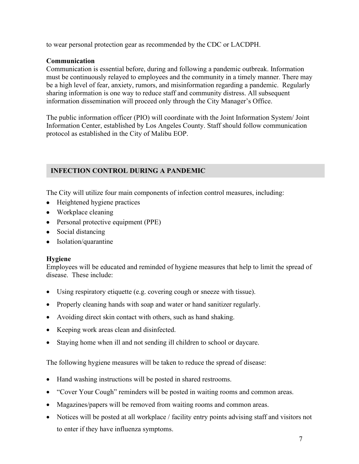to wear personal protection gear as recommended by the CDC or LACDPH.

# **Communication**

Communication is essential before, during and following a pandemic outbreak. Information must be continuously relayed to employees and the community in a timely manner. There may be a high level of fear, anxiety, rumors, and misinformation regarding a pandemic. Regularly sharing information is one way to reduce staff and community distress. All subsequent information dissemination will proceed only through the City Manager's Office.

The public information officer (PIO) will coordinate with the Joint Information System/ Joint Information Center, established by Los Angeles County. Staff should follow communication protocol as established in the City of Malibu EOP.

# **INFECTION CONTROL DURING A PANDEMIC**

The City will utilize four main components of infection control measures, including:

- Heightened hygiene practices
- Workplace cleaning
- Personal protective equipment (PPE)
- Social distancing
- Isolation/quarantine

# **Hygiene**

Employees will be educated and reminded of hygiene measures that help to limit the spread of disease. These include:

- Using respiratory etiquette (e.g. covering cough or sneeze with tissue).
- Properly cleaning hands with soap and water or hand sanitizer regularly.
- Avoiding direct skin contact with others, such as hand shaking.
- Keeping work areas clean and disinfected.
- Staying home when ill and not sending ill children to school or daycare.

The following hygiene measures will be taken to reduce the spread of disease:

- Hand washing instructions will be posted in shared restrooms.
- "Cover Your Cough" reminders will be posted in waiting rooms and common areas.
- Magazines/papers will be removed from waiting rooms and common areas.
- Notices will be posted at all workplace / facility entry points advising staff and visitors not to enter if they have influenza symptoms.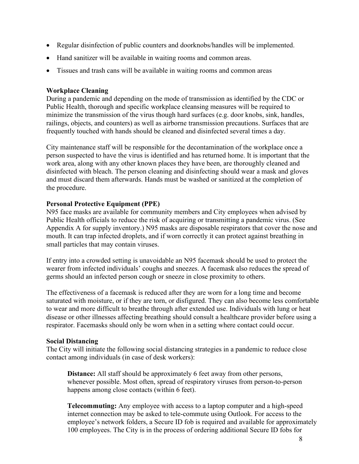- Regular disinfection of public counters and doorknobs/handles will be implemented.
- Hand sanitizer will be available in waiting rooms and common areas.
- Tissues and trash cans will be available in waiting rooms and common areas

# **Workplace Cleaning**

During a pandemic and depending on the mode of transmission as identified by the CDC or Public Health, thorough and specific workplace cleansing measures will be required to minimize the transmission of the virus though hard surfaces (e.g. door knobs, sink, handles, railings, objects, and counters) as well as airborne transmission precautions. Surfaces that are frequently touched with hands should be cleaned and disinfected several times a day.

City maintenance staff will be responsible for the decontamination of the workplace once a person suspected to have the virus is identified and has returned home. It is important that the work area, along with any other known places they have been, are thoroughly cleaned and disinfected with bleach. The person cleaning and disinfecting should wear a mask and gloves and must discard them afterwards. Hands must be washed or sanitized at the completion of the procedure.

# **Personal Protective Equipment (PPE)**

N95 face masks are available for community members and City employees when advised by Public Health officials to reduce the risk of acquiring or transmitting a pandemic virus. (See Appendix A for supply inventory.) N95 masks are disposable respirators that cover the nose and mouth. It can trap infected droplets, and if worn correctly it can protect against breathing in small particles that may contain viruses.

If entry into a crowded setting is unavoidable an N95 facemask should be used to protect the wearer from infected individuals' coughs and sneezes. A facemask also reduces the spread of germs should an infected person cough or sneeze in close proximity to others.

The effectiveness of a facemask is reduced after they are worn for a long time and become saturated with moisture, or if they are torn, or disfigured. They can also become less comfortable to wear and more difficult to breathe through after extended use. Individuals with lung or heat disease or other illnesses affecting breathing should consult a healthcare provider before using a respirator. Facemasks should only be worn when in a setting where contact could occur.

# **Social Distancing**

The City will initiate the following social distancing strategies in a pandemic to reduce close contact among individuals (in case of desk workers):

**Distance:** All staff should be approximately 6 feet away from other persons, whenever possible. Most often, spread of respiratory viruses from person-to-person happens among close contacts (within 6 feet).

**Telecommuting:** Any employee with access to a laptop computer and a high-speed internet connection may be asked to tele-commute using Outlook. For access to the employee's network folders, a Secure ID fob is required and available for approximately 100 employees. The City is in the process of ordering additional Secure ID fobs for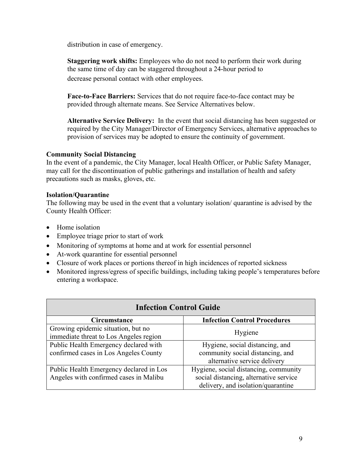distribution in case of emergency.

**Staggering work shifts:** Employees who do not need to perform their work during the same time of day can be staggered throughout a 24-hour period to decrease personal contact with other employees.

**Face-to-Face Barriers:** Services that do not require face-to-face contact may be provided through alternate means. See Service Alternatives below.

**Alternative Service Delivery:** In the event that social distancing has been suggested or required by the City Manager/Director of Emergency Services, alternative approaches to provision of services may be adopted to ensure the continuity of government.

# **Community Social Distancing**

In the event of a pandemic, the City Manager, local Health Officer, or Public Safety Manager, may call for the discontinuation of public gatherings and installation of health and safety precautions such as masks, gloves, etc.

# **Isolation/Quarantine**

The following may be used in the event that a voluntary isolation/ quarantine is advised by the County Health Officer:

- Home isolation
- Employee triage prior to start of work
- Monitoring of symptoms at home and at work for essential personnel
- At-work quarantine for essential personnel
- Closure of work places or portions thereof in high incidences of reported sickness
- Monitored ingress/egress of specific buildings, including taking people's temperatures before entering a workspace.

| <b>Infection Control Guide</b>          |                                        |  |  |
|-----------------------------------------|----------------------------------------|--|--|
| <b>Circumstance</b>                     | <b>Infection Control Procedures</b>    |  |  |
| Growing epidemic situation, but no      | Hygiene                                |  |  |
| immediate threat to Los Angeles region  |                                        |  |  |
| Public Health Emergency declared with   | Hygiene, social distancing, and        |  |  |
| confirmed cases in Los Angeles County   | community social distancing, and       |  |  |
|                                         | alternative service delivery           |  |  |
| Public Health Emergency declared in Los | Hygiene, social distancing, community  |  |  |
| Angeles with confirmed cases in Malibu  | social distancing, alternative service |  |  |
|                                         | delivery, and isolation/quarantine     |  |  |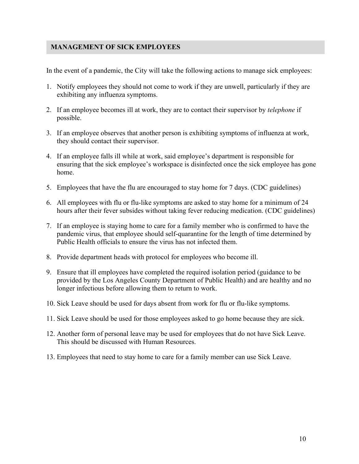# **MANAGEMENT OF SICK EMPLOYEES**

In the event of a pandemic, the City will take the following actions to manage sick employees:

- 1. Notify employees they should not come to work if they are unwell, particularly if they are exhibiting any influenza symptoms.
- 2. If an employee becomes ill at work, they are to contact their supervisor by *telephone* if possible.
- 3. If an employee observes that another person is exhibiting symptoms of influenza at work, they should contact their supervisor.
- 4. If an employee falls ill while at work, said employee's department is responsible for ensuring that the sick employee's workspace is disinfected once the sick employee has gone home.
- 5. Employees that have the flu are encouraged to stay home for 7 days. (CDC guidelines)
- 6. All employees with flu or flu-like symptoms are asked to stay home for a minimum of 24 hours after their fever subsides without taking fever reducing medication. (CDC guidelines)
- 7. If an employee is staying home to care for a family member who is confirmed to have the pandemic virus, that employee should self-quarantine for the length of time determined by Public Health officials to ensure the virus has not infected them.
- 8. Provide department heads with protocol for employees who become ill.
- 9. Ensure that ill employees have completed the required isolation period (guidance to be provided by the Los Angeles County Department of Public Health) and are healthy and no longer infectious before allowing them to return to work.
- 10. Sick Leave should be used for days absent from work for flu or flu-like symptoms.
- 11. Sick Leave should be used for those employees asked to go home because they are sick.
- 12. Another form of personal leave may be used for employees that do not have Sick Leave. This should be discussed with Human Resources.
- 13. Employees that need to stay home to care for a family member can use Sick Leave.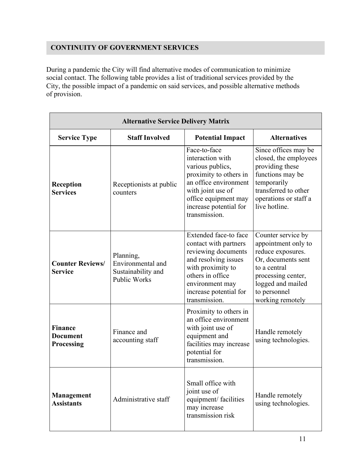# **CONTINUITY OF GOVERNMENT SERVICES**

During a pandemic the City will find alternative modes of communication to minimize social contact. The following table provides a list of traditional services provided by the City, the possible impact of a pandemic on said services, and possible alternative methods of provision.

| <b>Alternative Service Delivery Matrix</b>      |                                                                             |                                                                                                                                                                                                      |                                                                                                                                                                                     |  |
|-------------------------------------------------|-----------------------------------------------------------------------------|------------------------------------------------------------------------------------------------------------------------------------------------------------------------------------------------------|-------------------------------------------------------------------------------------------------------------------------------------------------------------------------------------|--|
| <b>Service Type</b>                             | <b>Staff Involved</b>                                                       | <b>Potential Impact</b>                                                                                                                                                                              | <b>Alternatives</b>                                                                                                                                                                 |  |
| Reception<br><b>Services</b>                    | Receptionists at public<br>counters                                         | Face-to-face<br>interaction with<br>various publics,<br>proximity to others in<br>an office environment<br>with joint use of<br>office equipment may<br>increase potential for<br>transmission.      | Since offices may be<br>closed, the employees<br>providing these<br>functions may be<br>temporarily<br>transferred to other<br>operations or staff a<br>live hotline.               |  |
| <b>Counter Reviews/</b><br><b>Service</b>       | Planning,<br>Environmental and<br>Sustainability and<br><b>Public Works</b> | Extended face-to face<br>contact with partners<br>reviewing documents<br>and resolving issues<br>with proximity to<br>others in office<br>environment may<br>increase potential for<br>transmission. | Counter service by<br>appointment only to<br>reduce exposures.<br>Or, documents sent<br>to a central<br>processing center,<br>logged and mailed<br>to personnel<br>working remotely |  |
| <b>Finance</b><br><b>Document</b><br>Processing | Finance and<br>accounting staff                                             | Proximity to others in<br>an office environment<br>with joint use of<br>equipment and<br>facilities may increase<br>potential for<br>transmission.                                                   | Handle remotely<br>using technologies.                                                                                                                                              |  |
| Management<br><b>Assistants</b>                 | Administrative staff                                                        | Small office with<br>joint use of<br>equipment/ facilities<br>may increase<br>transmission risk                                                                                                      | Handle remotely<br>using technologies.                                                                                                                                              |  |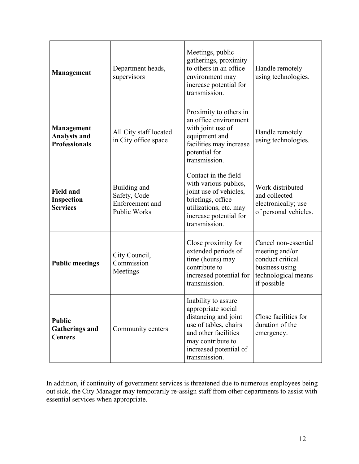| Management                                                       | Department heads,<br>supervisors                                | Meetings, public<br>gatherings, proximity<br>to others in an office<br>environment may<br>increase potential for<br>transmission.                                                  | Handle remotely<br>using technologies.                                                                             |
|------------------------------------------------------------------|-----------------------------------------------------------------|------------------------------------------------------------------------------------------------------------------------------------------------------------------------------------|--------------------------------------------------------------------------------------------------------------------|
| <b>Management</b><br><b>Analysts and</b><br><b>Professionals</b> | All City staff located<br>in City office space                  | Proximity to others in<br>an office environment<br>with joint use of<br>equipment and<br>facilities may increase<br>potential for<br>transmission.                                 | Handle remotely<br>using technologies.                                                                             |
| <b>Field and</b><br>Inspection<br><b>Services</b>                | Building and<br>Safety, Code<br>Enforcement and<br>Public Works | Contact in the field<br>with various publics,<br>joint use of vehicles,<br>briefings, office<br>utilizations, etc. may<br>increase potential for<br>transmission.                  | Work distributed<br>and collected<br>electronically; use<br>of personal vehicles.                                  |
| <b>Public meetings</b>                                           | City Council,<br>Commission<br>Meetings                         | Close proximity for<br>extended periods of<br>time (hours) may<br>contribute to<br>increased potential for<br>transmission.                                                        | Cancel non-essential<br>meeting and/or<br>conduct critical<br>business using<br>technological means<br>if possible |
| <b>Public</b><br><b>Gatherings and</b><br><b>Centers</b>         | Community centers                                               | Inability to assure<br>appropriate social<br>distancing and joint<br>use of tables, chairs<br>and other facilities<br>may contribute to<br>increased potential of<br>transmission. | Close facilities for<br>duration of the<br>emergency.                                                              |

In addition, if continuity of government services is threatened due to numerous employees being out sick, the City Manager may temporarily re-assign staff from other departments to assist with essential services when appropriate.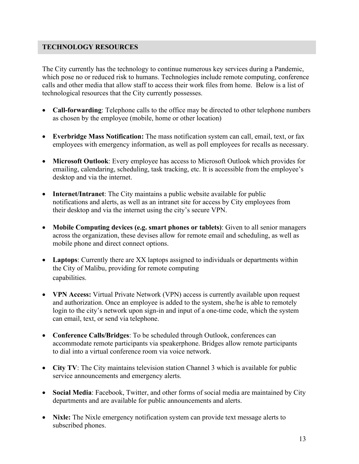# **TECHNOLOGY RESOURCES**

The City currently has the technology to continue numerous key services during a Pandemic, which pose no or reduced risk to humans. Technologies include remote computing, conference calls and other media that allow staff to access their work files from home. Below is a list of technological resources that the City currently possesses.

- **Call-forwarding**: Telephone calls to the office may be directed to other telephone numbers as chosen by the employee (mobile, home or other location)
- **Everbridge Mass Notification:** The mass notification system can call, email, text, or fax employees with emergency information, as well as poll employees for recalls as necessary.
- **Microsoft Outlook**: Every employee has access to Microsoft Outlook which provides for emailing, calendaring, scheduling, task tracking, etc. It is accessible from the employee's desktop and via the internet.
- **Internet/Intranet**: The City maintains a public website available for public notifications and alerts, as well as an intranet site for access by City employees from their desktop and via the internet using the city's secure VPN.
- **Mobile Computing devices (e.g. smart phones or tablets)**: Given to all senior managers across the organization, these devises allow for remote email and scheduling, as well as mobile phone and direct connect options.
- **Laptops**: Currently there are XX laptops assigned to individuals or departments within the City of Malibu, providing for remote computing capabilities.
- **VPN Access:** Virtual Private Network (VPN) access is currently available upon request and authorization. Once an employee is added to the system, she/he is able to remotely login to the city's network upon sign-in and input of a one-time code, which the system can email, text, or send via telephone.
- **Conference Calls/Bridges**: To be scheduled through Outlook, conferences can accommodate remote participants via speakerphone. Bridges allow remote participants to dial into a virtual conference room via voice network.
- **City TV**: The City maintains television station Channel 3 which is available for public service announcements and emergency alerts.
- **Social Media**: Facebook, Twitter, and other forms of social media are maintained by City departments and are available for public announcements and alerts.
- **Nixle:** The Nixle emergency notification system can provide text message alerts to subscribed phones.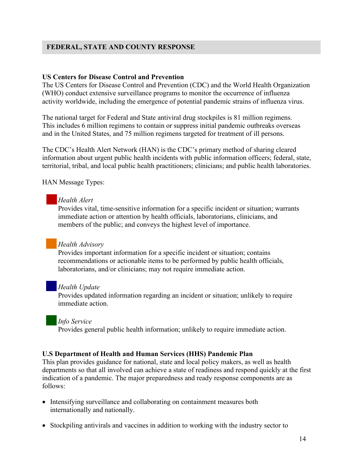# **FEDERAL, STATE AND COUNTY RESPONSE**

#### **US Centers for Disease Control and Prevention**

The US Centers for Disease Control and Prevention (CDC) and the World Health Organization (WHO) conduct extensive surveillance programs to monitor the occurrence of influenza activity worldwide, including the emergence of potential pandemic strains of influenza virus.

The national target for Federal and State antiviral drug stockpiles is 81 million regimens. This includes 6 million regimens to contain or suppress initial pandemic outbreaks overseas and in the United States, and 75 million regimens targeted for treatment of ill persons.

The CDC's Health Alert Network (HAN) is the CDC's primary method of sharing cleared information about urgent public health incidents with public information officers; federal, state, territorial, tribal, and local public health practitioners; clinicians; and public health laboratories.

HAN Message Types:

# *Health Alert*

Provides vital, time-sensitive information for a specific incident or situation; warrants immediate action or attention by health officials, laboratorians, clinicians, and members of the public; and conveys the highest level of importance.

# *Health Advisory*

Provides important information for a specific incident or situation; contains recommendations or actionable items to be performed by public health officials, laboratorians, and/or clinicians; may not require immediate action.

#### *Health Update*

Provides updated information regarding an incident or situation; unlikely to require immediate action.

#### *Info Service*

Provides general public health information; unlikely to require immediate action.

#### **U.S Department of Health and Human Services (HHS) Pandemic Plan**

This plan provides guidance for national, state and local policy makers, as well as health departments so that all involved can achieve a state of readiness and respond quickly at the first indication of a pandemic. The major preparedness and ready response components are as follows:

- Intensifying surveillance and collaborating on containment measures both internationally and nationally.
- Stockpiling antivirals and vaccines in addition to working with the industry sector to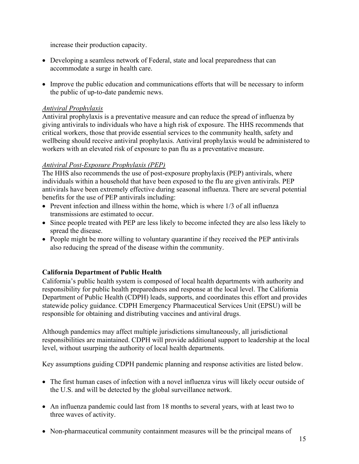increase their production capacity.

- Developing a seamless network of Federal, state and local preparedness that can accommodate a surge in health care.
- Improve the public education and communications efforts that will be necessary to inform the public of up-to-date pandemic news.

# *Antiviral Prophylaxis*

Antiviral prophylaxis is a preventative measure and can reduce the spread of influenza by giving antivirals to individuals who have a high risk of exposure. The HHS recommends that critical workers, those that provide essential services to the community health, safety and wellbeing should receive antiviral prophylaxis. Antiviral prophylaxis would be administered to workers with an elevated risk of exposure to pan flu as a preventative measure.

# *Antiviral Post-Exposure Prophylaxis (PEP)*

The HHS also recommends the use of post-exposure prophylaxis (PEP) antivirals, where individuals within a household that have been exposed to the flu are given antivirals. PEP antivirals have been extremely effective during seasonal influenza. There are several potential benefits for the use of PEP antivirals including:

- Prevent infection and illness within the home, which is where 1/3 of all influenza transmissions are estimated to occur.
- Since people treated with PEP are less likely to become infected they are also less likely to spread the disease.
- People might be more willing to voluntary quarantine if they received the PEP antivirals also reducing the spread of the disease within the community.

# **California Department of Public Health**

California's public health system is composed of local health departments with authority and responsibility for public health preparedness and response at the local level. The California Department of Public Health (CDPH) leads, supports, and coordinates this effort and provides statewide policy guidance. CDPH Emergency Pharmaceutical Services Unit (EPSU) will be responsible for obtaining and distributing vaccines and antiviral drugs.

Although pandemics may affect multiple jurisdictions simultaneously, all jurisdictional responsibilities are maintained. CDPH will provide additional support to leadership at the local level, without usurping the authority of local health departments.

Key assumptions guiding CDPH pandemic planning and response activities are listed below.

- The first human cases of infection with a novel influenza virus will likely occur outside of the U.S. and will be detected by the global surveillance network.
- An influenza pandemic could last from 18 months to several years, with at least two to three waves of activity.
- Non-pharmaceutical community containment measures will be the principal means of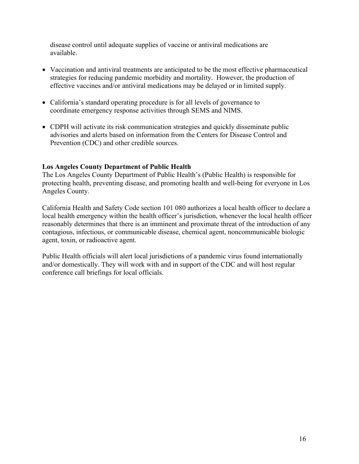disease control until adequate supplies of vaccine or antiviral medications are available.

- Vaccination and antiviral treatments are anticipated to be the most effective pharmaceutical strategies for reducing pandemic morbidity and mortality. However, the production of effective vaccines and/or antiviral medications may be delayed or in limited supply.
- California's standard operating procedure is for all levels of governance to coordinate emergency response activities through SEMS and NIMS.
- CDPH will activate its risk communication strategies and quickly disseminate public advisories and alerts based on information from the Centers for Disease Control and Prevention (CDC) and other credible sources.

# **Los Angeles County Department of Public Health**

The Los Angeles County Department of Public Health's (Public Health) is responsible for protecting health, preventing disease, and promoting health and well-being for everyone in Los Angeles County.

California Health and Safety Code section 101 080 authorizes a local health officer to declare a local health emergency within the health officer's jurisdiction, whenever the local health officer reasonably determines that there is an imminent and proximate threat of the introduction of any contagious, infectious, or communicable disease, chemical agent, noncommunicable biologic agent, toxin, or radioactive agent.

Public Health officials will alert local jurisdictions of a pandemic virus found internationally and/or domestically. They will work with and in support of the CDC and will host regular conference call briefings for local officials.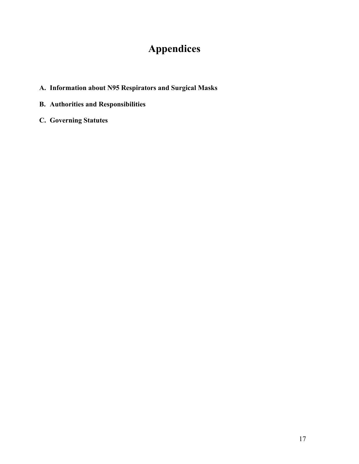# **Appendices**

- <span id="page-16-1"></span><span id="page-16-0"></span>**A. Information about N95 Respirators and Surgical Masks**
- **B. Authorities and Responsibilities**
- **C. Governing Statutes**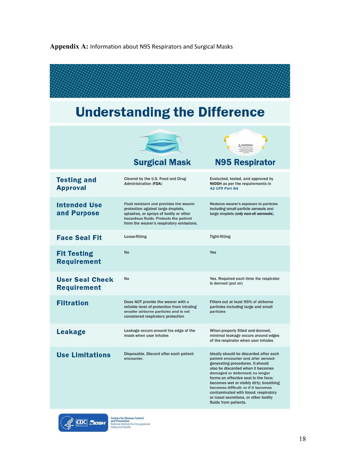# **Appendix A:** Information about N95 Respirators and Surgical Masks

| <b>Understanding the Difference</b>          |                                                                                                                                                                                                               |                                                                                                                                                                                                                                                                                                                                                                                                                              |  |  |  |
|----------------------------------------------|---------------------------------------------------------------------------------------------------------------------------------------------------------------------------------------------------------------|------------------------------------------------------------------------------------------------------------------------------------------------------------------------------------------------------------------------------------------------------------------------------------------------------------------------------------------------------------------------------------------------------------------------------|--|--|--|
|                                              | $\Rightarrow$<br><b>Surgical Mask</b>                                                                                                                                                                         | A WARNING<br><b>N95 Respirator</b>                                                                                                                                                                                                                                                                                                                                                                                           |  |  |  |
| <b>Testing and</b><br><b>Approval</b>        | Cleared by the U.S. Food and Drug<br><b>Administration (FDA)</b>                                                                                                                                              | Evaluated, tested, and approved by<br>NIOSH as per the requirements in<br>42 CFR Part 84                                                                                                                                                                                                                                                                                                                                     |  |  |  |
| <b>Intended Use</b><br>and Purpose           | Fluid resistant and provides the wearer<br>protection against large droplets,<br>splashes, or sprays of bodily or other<br>hazardous fluids. Protects the patient<br>from the wearer's respiratory emissions. | Reduces wearer's exposure to particles<br>including small particle aerosols and<br>large droplets (only non-oll aerosols).                                                                                                                                                                                                                                                                                                   |  |  |  |
| <b>Face Seal Fit</b>                         | Loose-fitting                                                                                                                                                                                                 | <b>Tight-fitting</b>                                                                                                                                                                                                                                                                                                                                                                                                         |  |  |  |
| <b>Fit Testing</b><br><b>Requirement</b>     | No                                                                                                                                                                                                            | Yes                                                                                                                                                                                                                                                                                                                                                                                                                          |  |  |  |
| <b>User Seal Check</b><br><b>Requirement</b> | <b>No</b>                                                                                                                                                                                                     | Yes. Required each time the respirator<br>is donned (put on)                                                                                                                                                                                                                                                                                                                                                                 |  |  |  |
| <b>Filtration</b>                            | Does NOT provide the wearer with a<br>reliable level of protection from inhaling<br>smaller airborne particles and is not<br>considered respiratory protection                                                | Filters out at least 95% of airborne<br>particles including large and small<br>particles                                                                                                                                                                                                                                                                                                                                     |  |  |  |
| <b>Leakage</b>                               | Leakage occurs around the edge of the<br>mask when user inhales                                                                                                                                               | When properly fitted and donned,<br>minimal leakage occurs around edges<br>of the respirator when user inhales                                                                                                                                                                                                                                                                                                               |  |  |  |
| <b>Use Limitations</b>                       | Disposable. Discard after each patient<br>encounter.                                                                                                                                                          | Ideally should be discarded after each<br>patient encounter and after aerosol-<br>generating procedures. It should<br>also be discarded when it becomes<br>damaged or deformed; no longer<br>forms an effective seal to the face;<br>becomes wet or visibly dirty; breathing<br>becomes difficult; or if it becomes<br>contaminated with blood, respiratory<br>or nasal secretions, or other bodily<br>fluids from patients. |  |  |  |

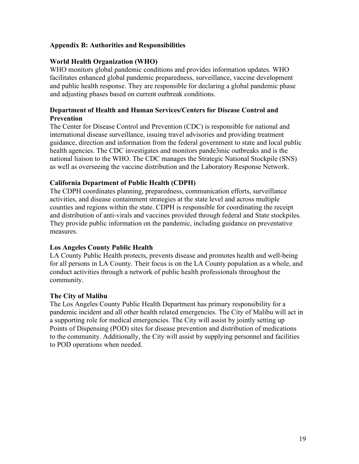# **Appendix B: Authorities and Responsibilities**

# **World Health Organization (WHO)**

WHO monitors global pandemic conditions and provides information updates. WHO facilitates enhanced global pandemic preparedness, surveillance, vaccine development and public health response. They are responsible for declaring a global pandemic phase and adjusting phases based on current outbreak conditions.

# **Department of Health and Human Services/Centers for Disease Control and Prevention**

The Center for Disease Control and Prevention (CDC) is responsible for national and international disease surveillance, issuing travel advisories and providing treatment guidance, direction and information from the federal government to state and local public health agencies. The CDC investigates and monitors pande3mic outbreaks and is the national liaison to the WHO. The CDC manages the Strategic National Stockpile (SNS) as well as overseeing the vaccine distribution and the Laboratory Response Network.

# **California Department of Public Health (CDPH)**

The CDPH coordinates planning, preparedness, communication efforts, surveillance activities, and disease containment strategies at the state level and across multiple counties and regions within the state. CDPH is responsible for coordinating the receipt and distribution of anti-virals and vaccines provided through federal and State stockpiles. They provide public information on the pandemic, including guidance on preventative measures.

# **Los Angeles County Public Health**

LA County Public Health protects, prevents disease and promotes health and well-being for all persons in LA County. Their focus is on the LA County population as a whole, and conduct activities through a network of public health professionals throughout the community.

# **The City of Malibu**

The Los Angeles County Public Health Department has primary responsibility for a pandemic incident and all other health related emergencies. The City of Malibu will act in a supporting role for medical emergencies. The City will assist by jointly setting up Points of Dispensing (POD) sites for disease prevention and distribution of medications to the community. Additionally, the City will assist by supplying personnel and facilities to POD operations when needed.